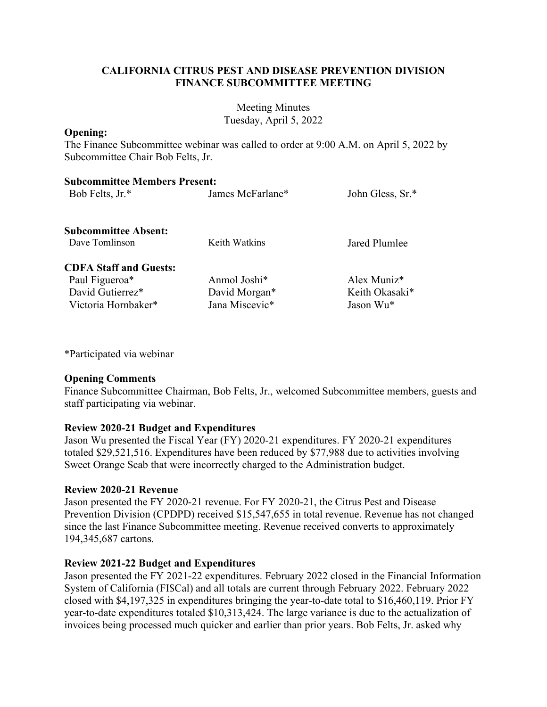## **CALIFORNIA CITRUS PEST AND DISEASE PREVENTION DIVISION FINANCE SUBCOMMITTEE MEETING**

Meeting Minutes Tuesday, April 5, 2022

#### **Opening:**

The Finance Subcommittee webinar was called to order at 9:00 A.M. on April 5, 2022 by Subcommittee Chair Bob Felts, Jr.

| <b>Subcommittee Members Present:</b> |                          |                         |
|--------------------------------------|--------------------------|-------------------------|
| Bob Felts, Jr.*                      | James McFarlane*         | John Gless, Sr.*        |
| <b>Subcommittee Absent:</b>          |                          |                         |
| Dave Tomlinson                       | Keith Watkins            | Jared Plumlee           |
| <b>CDFA Staff and Guests:</b>        |                          |                         |
| Paul Figueroa <sup>*</sup>           | Anmol Joshi <sup>*</sup> | Alex Muniz <sup>*</sup> |
| David Gutierrez*                     | David Morgan*            | Keith Okasaki*          |
| Victoria Hornbaker*                  | Jana Miscevic*           | Jason Wu*               |

\*Participated via webinar

### **Opening Comments**

Finance Subcommittee Chairman, Bob Felts, Jr., welcomed Subcommittee members, guests and staff participating via webinar.

### **Review 2020-21 Budget and Expenditures**

Jason Wu presented the Fiscal Year (FY) 2020-21 expenditures. FY 2020-21 expenditures totaled \$29,521,516. Expenditures have been reduced by \$77,988 due to activities involving Sweet Orange Scab that were incorrectly charged to the Administration budget.

### **Review 2020-21 Revenue**

 Prevention Division (CPDPD) received \$15,547,655 in total revenue. Revenue has not changed Jason presented the FY 2020-21 revenue. For FY 2020-21, the Citrus Pest and Disease since the last Finance Subcommittee meeting. Revenue received converts to approximately 194,345,687 cartons.

### **Review 2021-22 Budget and Expenditures**

Jason presented the FY 2021-22 expenditures. February 2022 closed in the Financial Information System of California (FI\$Cal) and all totals are current through February 2022. February 2022 closed with \$4,197,325 in expenditures bringing the year-to-date total to \$16,460,119. Prior FY year-to-date expenditures totaled \$10,313,424. The large variance is due to the actualization of invoices being processed much quicker and earlier than prior years. Bob Felts, Jr. asked why